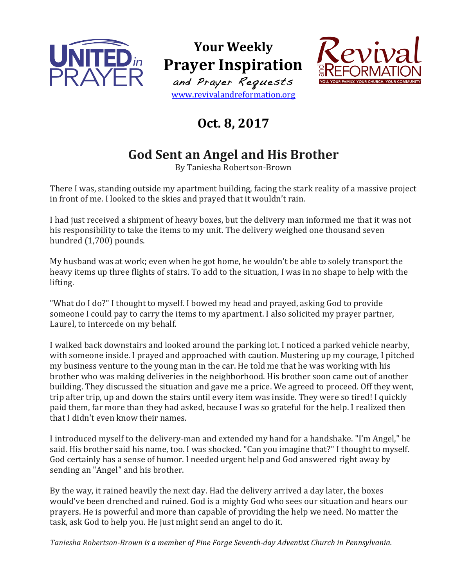

**Your Weekly Prayer Inspiration** and Prayer Requests www.revivalandreformation.org



## **Oct. 8, 2017**

## **God Sent an Angel and His Brother**

By Taniesha Robertson-Brown

There I was, standing outside my apartment building, facing the stark reality of a massive project in front of me. I looked to the skies and prayed that it wouldn't rain.

I had just received a shipment of heavy boxes, but the delivery man informed me that it was not his responsibility to take the items to my unit. The delivery weighed one thousand seven hundred (1,700) pounds.

My husband was at work; even when he got home, he wouldn't be able to solely transport the heavy items up three flights of stairs. To add to the situation, I was in no shape to help with the lifting. 

"What do I do?" I thought to myself. I bowed my head and prayed, asking God to provide someone I could pay to carry the items to my apartment. I also solicited my prayer partner, Laurel, to intercede on my behalf.

I walked back downstairs and looked around the parking lot. I noticed a parked vehicle nearby, with someone inside. I prayed and approached with caution. Mustering up my courage, I pitched my business venture to the young man in the car. He told me that he was working with his brother who was making deliveries in the neighborhood. His brother soon came out of another building. They discussed the situation and gave me a price. We agreed to proceed. Off they went, trip after trip, up and down the stairs until every item was inside. They were so tired! I quickly paid them, far more than they had asked, because I was so grateful for the help. I realized then that I didn't even know their names.

I introduced myself to the delivery-man and extended my hand for a handshake. "I'm Angel," he said. His brother said his name, too. I was shocked. "Can you imagine that?" I thought to myself. God certainly has a sense of humor. I needed urgent help and God answered right away by sending an "Angel" and his brother.

By the way, it rained heavily the next day. Had the delivery arrived a day later, the boxes would've been drenched and ruined. God is a mighty God who sees our situation and hears our prayers. He is powerful and more than capable of providing the help we need. No matter the task, ask God to help you. He just might send an angel to do it.

*Taniesha Robertson-Brown is a member of Pine Forge Seventh-day Adventist Church in Pennsylvania.*